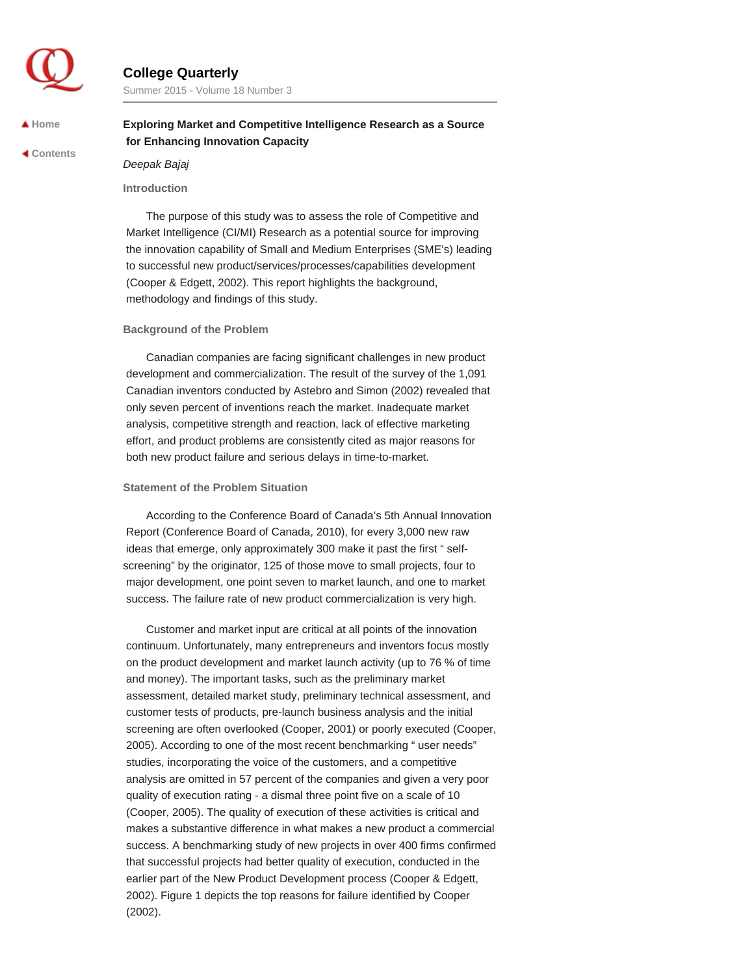

# **College Quarterly**

Summer 2015 - Volume 18 Number 3

 **[Home](http://collegequarterly.ca/index.html)**

 **[Contents](http://collegequarterly.ca/2015-vol18-num03-summer/index.html)**

# **Exploring Market and Competitive Intelligence Research as a Source for Enhancing Innovation Capacity**

*Deepak Bajaj*

### **Introduction**

The purpose of this study was to assess the role of Competitive and Market Intelligence (CI/MI) Research as a potential source for improving the innovation capability of Small and Medium Enterprises (SME's) leading to successful new product/services/processes/capabilities development (Cooper & Edgett, 2002). This report highlights the background, methodology and findings of this study.

#### **Background of the Problem**

Canadian companies are facing significant challenges in new product development and commercialization. The result of the survey of the 1,091 Canadian inventors conducted by Astebro and Simon (2002) revealed that only seven percent of inventions reach the market. Inadequate market analysis, competitive strength and reaction, lack of effective marketing effort, and product problems are consistently cited as major reasons for both new product failure and serious delays in time-to-market.

#### **Statement of the Problem Situation**

According to the Conference Board of Canada's 5th Annual Innovation Report (Conference Board of Canada, 2010), for every 3,000 new raw ideas that emerge, only approximately 300 make it past the first " selfscreening" by the originator, 125 of those move to small projects, four to major development, one point seven to market launch, and one to market success. The failure rate of new product commercialization is very high.

Customer and market input are critical at all points of the innovation continuum. Unfortunately, many entrepreneurs and inventors focus mostly on the product development and market launch activity (up to 76 % of time and money). The important tasks, such as the preliminary market assessment, detailed market study, preliminary technical assessment, and customer tests of products, pre-launch business analysis and the initial screening are often overlooked (Cooper, 2001) or poorly executed (Cooper, 2005). According to one of the most recent benchmarking " user needs" studies, incorporating the voice of the customers, and a competitive analysis are omitted in 57 percent of the companies and given a very poor quality of execution rating - a dismal three point five on a scale of 10 (Cooper, 2005). The quality of execution of these activities is critical and makes a substantive difference in what makes a new product a commercial success. A benchmarking study of new projects in over 400 firms confirmed that successful projects had better quality of execution, conducted in the earlier part of the New Product Development process (Cooper & Edgett, 2002). Figure 1 depicts the top reasons for failure identified by Cooper (2002).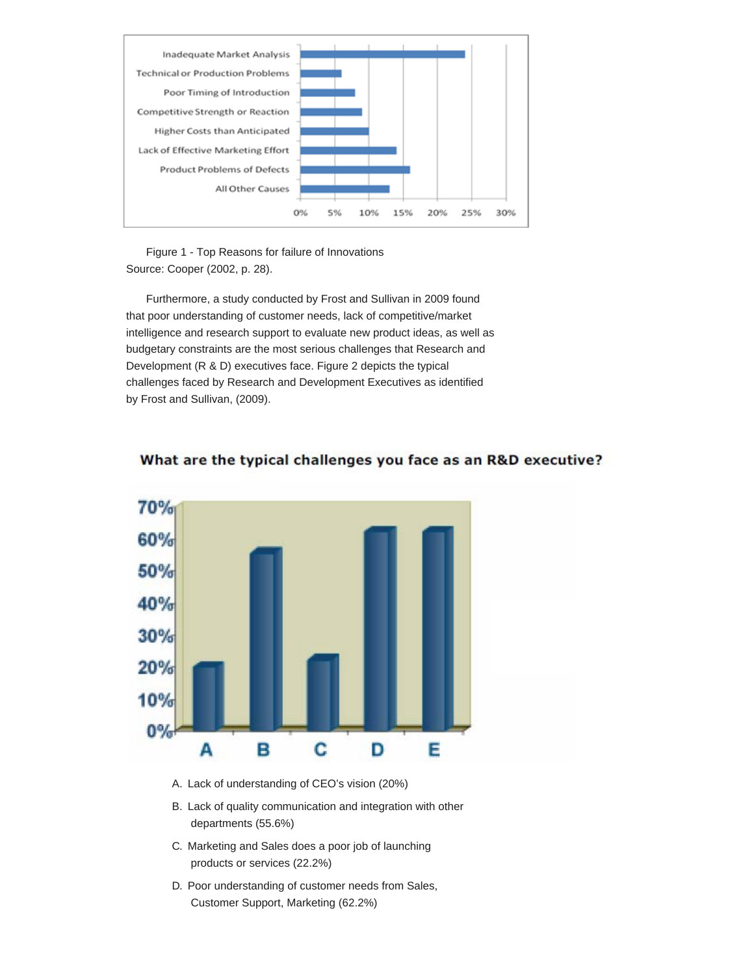

Figure 1 - Top Reasons for failure of Innovations Source: Cooper (2002, p. 28).

Furthermore, a study conducted by Frost and Sullivan in 2009 found that poor understanding of customer needs, lack of competitive/market intelligence and research support to evaluate new product ideas, as well as budgetary constraints are the most serious challenges that Research and Development (R & D) executives face. Figure 2 depicts the typical challenges faced by Research and Development Executives as identified by Frost and Sullivan, (2009).



# What are the typical challenges you face as an R&D executive?

- A. Lack of understanding of CEO's vision (20%)
- B. Lack of quality communication and integration with other departments (55.6%)
- C. Marketing and Sales does a poor job of launching products or services (22.2%)
- D. Poor understanding of customer needs from Sales, Customer Support, Marketing (62.2%)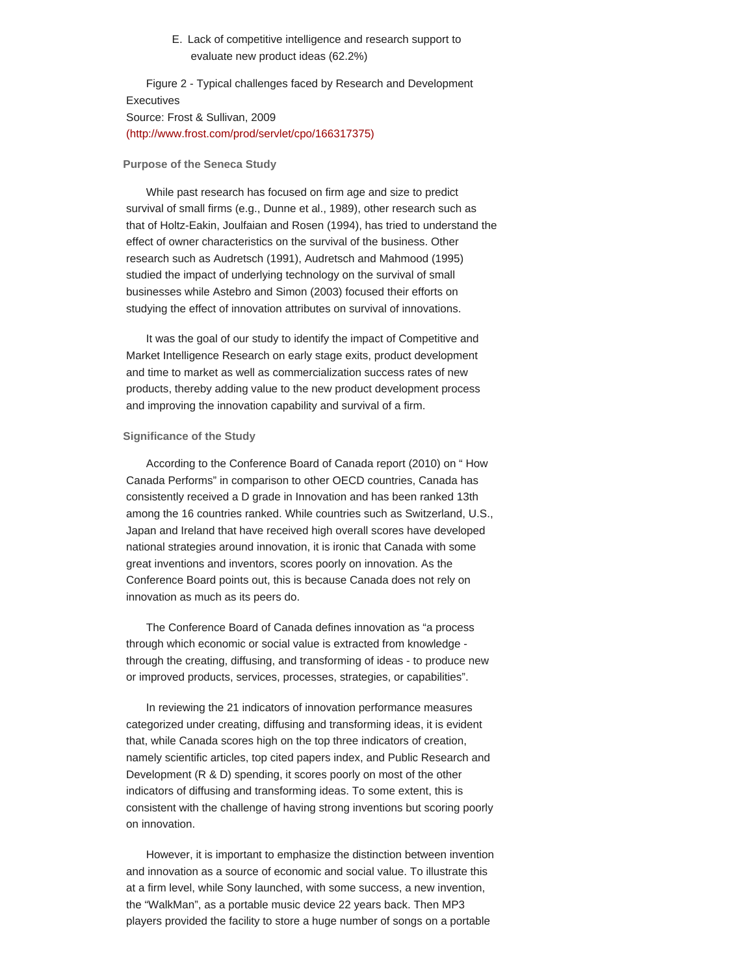E. Lack of competitive intelligence and research support to evaluate new product ideas (62.2%)

Figure 2 - Typical challenges faced by Research and Development **Executives** Source: Frost & Sullivan, 2009 [\(http://www.frost.com/prod/servlet/cpo/166317375\)](http://www.frost.com/prod/servlet/cpo/166317375)

#### **Purpose of the Seneca Study**

While past research has focused on firm age and size to predict survival of small firms (e.g., Dunne et al., 1989), other research such as that of Holtz-Eakin, Joulfaian and Rosen (1994), has tried to understand the effect of owner characteristics on the survival of the business. Other research such as Audretsch (1991), Audretsch and Mahmood (1995) studied the impact of underlying technology on the survival of small businesses while Astebro and Simon (2003) focused their efforts on studying the effect of innovation attributes on survival of innovations.

It was the goal of our study to identify the impact of Competitive and Market Intelligence Research on early stage exits, product development and time to market as well as commercialization success rates of new products, thereby adding value to the new product development process and improving the innovation capability and survival of a firm.

#### **Significance of the Study**

According to the Conference Board of Canada report (2010) on " How Canada Performs" in comparison to other OECD countries, Canada has consistently received a D grade in Innovation and has been ranked 13th among the 16 countries ranked. While countries such as Switzerland, U.S., Japan and Ireland that have received high overall scores have developed national strategies around innovation, it is ironic that Canada with some great inventions and inventors, scores poorly on innovation. As the Conference Board points out, this is because Canada does not rely on innovation as much as its peers do.

The Conference Board of Canada defines innovation as "a process through which economic or social value is extracted from knowledge through the creating, diffusing, and transforming of ideas - to produce new or improved products, services, processes, strategies, or capabilities".

In reviewing the 21 indicators of innovation performance measures categorized under creating, diffusing and transforming ideas, it is evident that, while Canada scores high on the top three indicators of creation, namely scientific articles, top cited papers index, and Public Research and Development (R & D) spending, it scores poorly on most of the other indicators of diffusing and transforming ideas. To some extent, this is consistent with the challenge of having strong inventions but scoring poorly on innovation.

However, it is important to emphasize the distinction between invention and innovation as a source of economic and social value. To illustrate this at a firm level, while Sony launched, with some success, a new invention, the "WalkMan", as a portable music device 22 years back. Then MP3 players provided the facility to store a huge number of songs on a portable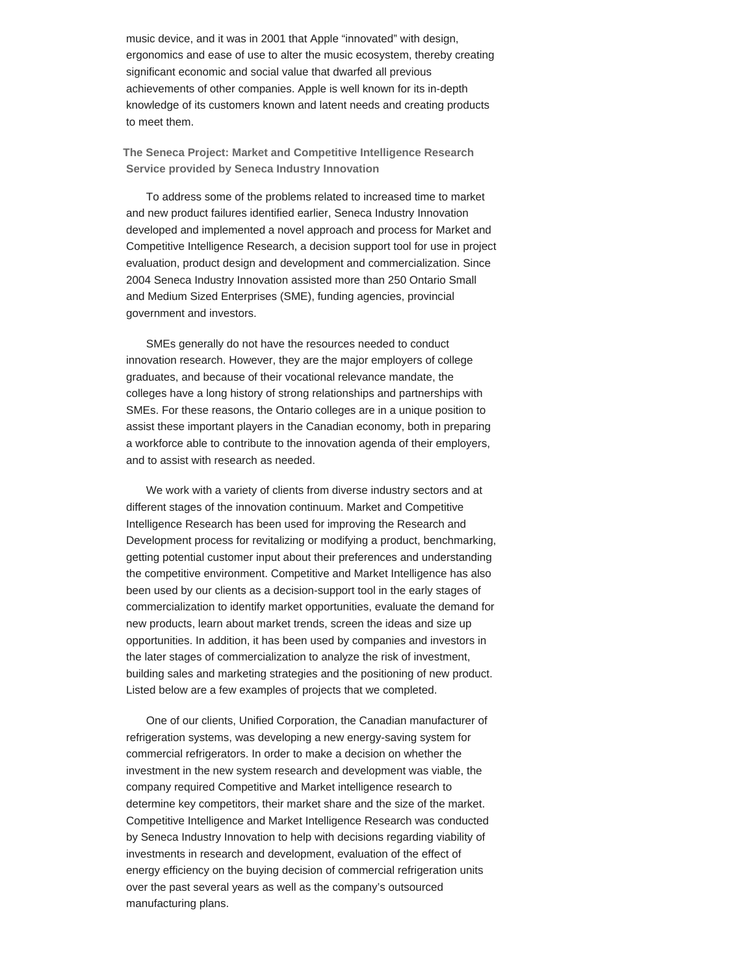music device, and it was in 2001 that Apple "innovated" with design, ergonomics and ease of use to alter the music ecosystem, thereby creating significant economic and social value that dwarfed all previous achievements of other companies. Apple is well known for its in-depth knowledge of its customers known and latent needs and creating products to meet them.

**The Seneca Project: Market and Competitive Intelligence Research Service provided by Seneca Industry Innovation**

To address some of the problems related to increased time to market and new product failures identified earlier, Seneca Industry Innovation developed and implemented a novel approach and process for Market and Competitive Intelligence Research, a decision support tool for use in project evaluation, product design and development and commercialization. Since 2004 Seneca Industry Innovation assisted more than 250 Ontario Small and Medium Sized Enterprises (SME), funding agencies, provincial government and investors.

SMEs generally do not have the resources needed to conduct innovation research. However, they are the major employers of college graduates, and because of their vocational relevance mandate, the colleges have a long history of strong relationships and partnerships with SMEs. For these reasons, the Ontario colleges are in a unique position to assist these important players in the Canadian economy, both in preparing a workforce able to contribute to the innovation agenda of their employers, and to assist with research as needed.

We work with a variety of clients from diverse industry sectors and at different stages of the innovation continuum. Market and Competitive Intelligence Research has been used for improving the Research and Development process for revitalizing or modifying a product, benchmarking, getting potential customer input about their preferences and understanding the competitive environment. Competitive and Market Intelligence has also been used by our clients as a decision-support tool in the early stages of commercialization to identify market opportunities, evaluate the demand for new products, learn about market trends, screen the ideas and size up opportunities. In addition, it has been used by companies and investors in the later stages of commercialization to analyze the risk of investment, building sales and marketing strategies and the positioning of new product. Listed below are a few examples of projects that we completed.

One of our clients, Unified Corporation, the Canadian manufacturer of refrigeration systems, was developing a new energy-saving system for commercial refrigerators. In order to make a decision on whether the investment in the new system research and development was viable, the company required Competitive and Market intelligence research to determine key competitors, their market share and the size of the market. Competitive Intelligence and Market Intelligence Research was conducted by Seneca Industry Innovation to help with decisions regarding viability of investments in research and development, evaluation of the effect of energy efficiency on the buying decision of commercial refrigeration units over the past several years as well as the company's outsourced manufacturing plans.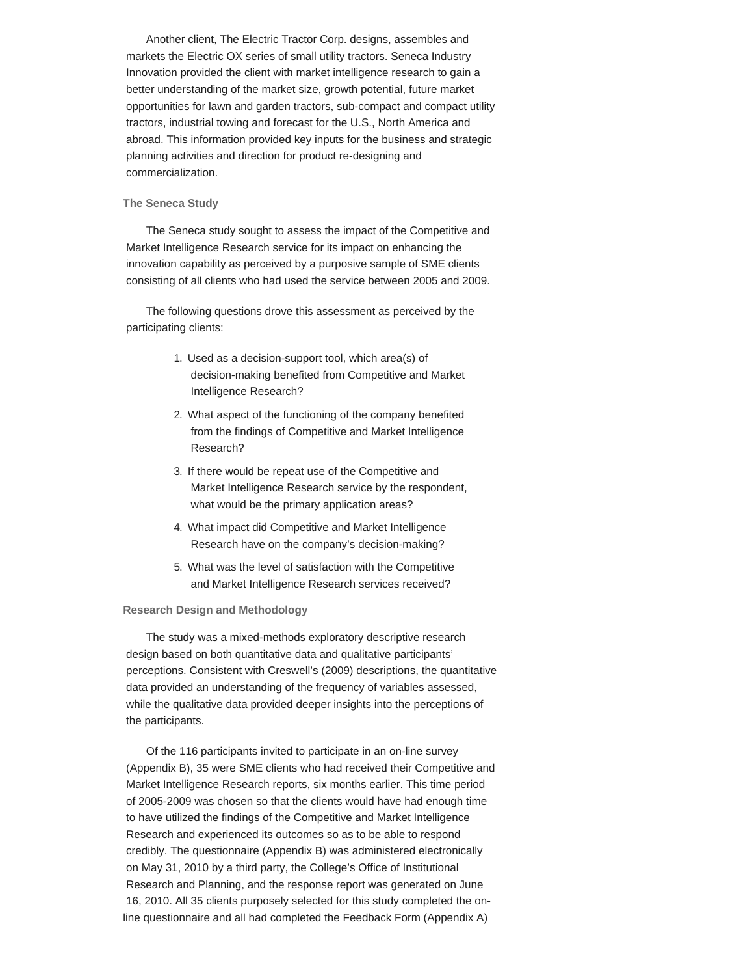Another client, The Electric Tractor Corp. designs, assembles and markets the Electric OX series of small utility tractors. Seneca Industry Innovation provided the client with market intelligence research to gain a better understanding of the market size, growth potential, future market opportunities for lawn and garden tractors, sub-compact and compact utility tractors, industrial towing and forecast for the U.S., North America and abroad. This information provided key inputs for the business and strategic planning activities and direction for product re-designing and commercialization.

### **The Seneca Study**

The Seneca study sought to assess the impact of the Competitive and Market Intelligence Research service for its impact on enhancing the innovation capability as perceived by a purposive sample of SME clients consisting of all clients who had used the service between 2005 and 2009.

The following questions drove this assessment as perceived by the participating clients:

- 1. Used as a decision-support tool, which area(s) of decision-making benefited from Competitive and Market Intelligence Research?
- 2. What aspect of the functioning of the company benefited from the findings of Competitive and Market Intelligence Research?
- 3. If there would be repeat use of the Competitive and Market Intelligence Research service by the respondent, what would be the primary application areas?
- 4. What impact did Competitive and Market Intelligence Research have on the company's decision-making?
- 5. What was the level of satisfaction with the Competitive and Market Intelligence Research services received?

#### **Research Design and Methodology**

The study was a mixed-methods exploratory descriptive research design based on both quantitative data and qualitative participants' perceptions. Consistent with Creswell's (2009) descriptions, the quantitative data provided an understanding of the frequency of variables assessed, while the qualitative data provided deeper insights into the perceptions of the participants.

Of the 116 participants invited to participate in an on-line survey (Appendix B), 35 were SME clients who had received their Competitive and Market Intelligence Research reports, six months earlier. This time period of 2005-2009 was chosen so that the clients would have had enough time to have utilized the findings of the Competitive and Market Intelligence Research and experienced its outcomes so as to be able to respond credibly. The questionnaire (Appendix B) was administered electronically on May 31, 2010 by a third party, the College's Office of Institutional Research and Planning, and the response report was generated on June 16, 2010. All 35 clients purposely selected for this study completed the online questionnaire and all had completed the Feedback Form (Appendix A)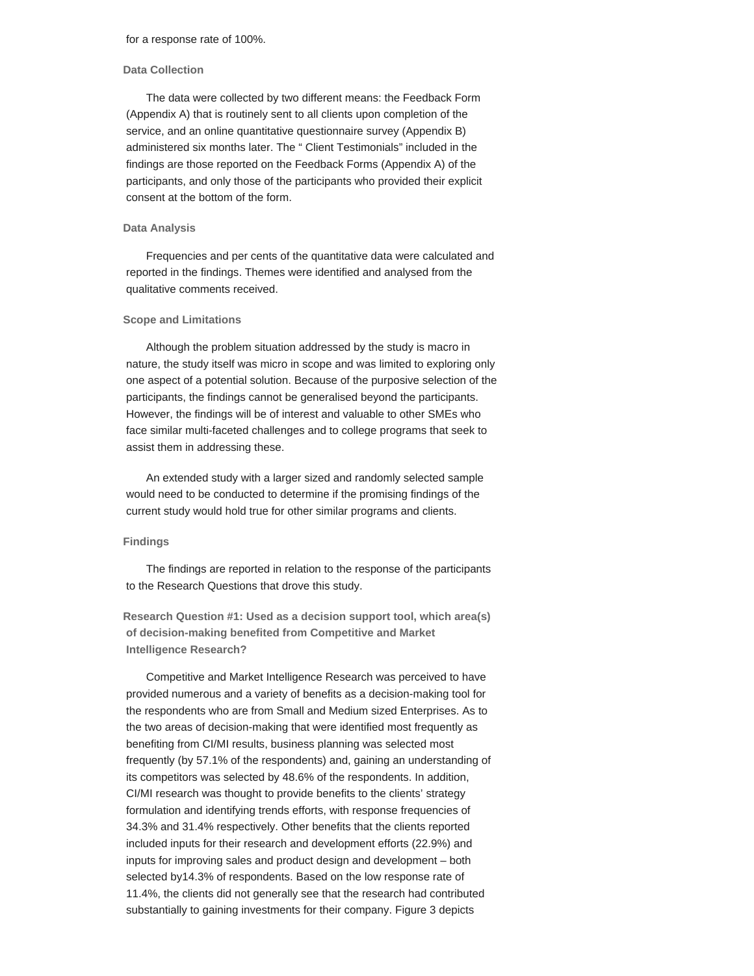### **Data Collection**

The data were collected by two different means: the Feedback Form (Appendix A) that is routinely sent to all clients upon completion of the service, and an online quantitative questionnaire survey (Appendix B) administered six months later. The " Client Testimonials" included in the findings are those reported on the Feedback Forms (Appendix A) of the participants, and only those of the participants who provided their explicit consent at the bottom of the form.

#### **Data Analysis**

Frequencies and per cents of the quantitative data were calculated and reported in the findings. Themes were identified and analysed from the qualitative comments received.

#### **Scope and Limitations**

Although the problem situation addressed by the study is macro in nature, the study itself was micro in scope and was limited to exploring only one aspect of a potential solution. Because of the purposive selection of the participants, the findings cannot be generalised beyond the participants. However, the findings will be of interest and valuable to other SMEs who face similar multi-faceted challenges and to college programs that seek to assist them in addressing these.

An extended study with a larger sized and randomly selected sample would need to be conducted to determine if the promising findings of the current study would hold true for other similar programs and clients.

# **Findings**

The findings are reported in relation to the response of the participants to the Research Questions that drove this study.

**Research Question #1: Used as a decision support tool, which area(s) of decision-making benefited from Competitive and Market Intelligence Research?**

Competitive and Market Intelligence Research was perceived to have provided numerous and a variety of benefits as a decision-making tool for the respondents who are from Small and Medium sized Enterprises. As to the two areas of decision-making that were identified most frequently as benefiting from CI/MI results, business planning was selected most frequently (by 57.1% of the respondents) and, gaining an understanding of its competitors was selected by 48.6% of the respondents. In addition, CI/MI research was thought to provide benefits to the clients' strategy formulation and identifying trends efforts, with response frequencies of 34.3% and 31.4% respectively. Other benefits that the clients reported included inputs for their research and development efforts (22.9%) and inputs for improving sales and product design and development – both selected by14.3% of respondents. Based on the low response rate of 11.4%, the clients did not generally see that the research had contributed substantially to gaining investments for their company. Figure 3 depicts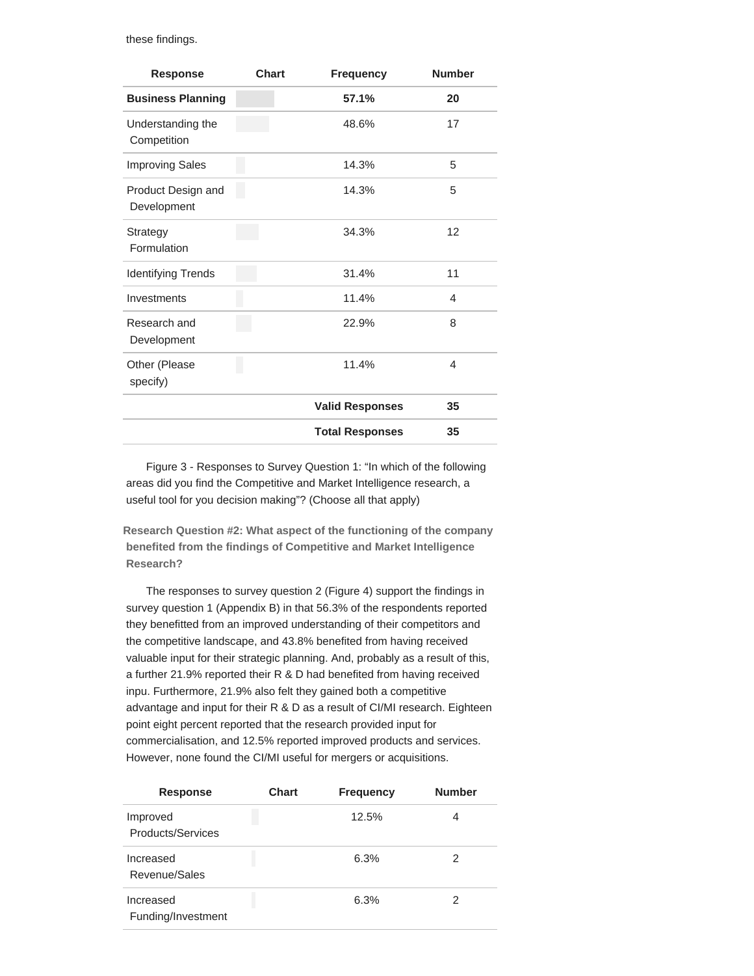these findings.

| <b>Response</b>                   | <b>Chart</b> | <b>Frequency</b>       | <b>Number</b> |
|-----------------------------------|--------------|------------------------|---------------|
| <b>Business Planning</b>          |              | 57.1%                  | 20            |
| Understanding the<br>Competition  |              | 48.6%                  | 17            |
| <b>Improving Sales</b>            |              | 14.3%                  | 5             |
| Product Design and<br>Development |              | 14.3%                  | 5             |
| Strategy<br>Formulation           |              | 34.3%                  | 12            |
| <b>Identifying Trends</b>         |              | 31.4%                  | 11            |
| Investments                       |              | 11.4%                  | 4             |
| Research and<br>Development       |              | 22.9%                  | 8             |
| Other (Please<br>specify)         |              | 11.4%                  | 4             |
|                                   |              | <b>Valid Responses</b> | 35            |
|                                   |              | <b>Total Responses</b> | 35            |

Figure 3 - Responses to Survey Question 1: "In which of the following areas did you find the Competitive and Market Intelligence research, a useful tool for you decision making"? (Choose all that apply)

**Research Question #2: What aspect of the functioning of the company benefited from the findings of Competitive and Market Intelligence Research?**

The responses to survey question 2 (Figure 4) support the findings in survey question 1 (Appendix B) in that 56.3% of the respondents reported they benefitted from an improved understanding of their competitors and the competitive landscape, and 43.8% benefited from having received valuable input for their strategic planning. And, probably as a result of this, a further 21.9% reported their R & D had benefited from having received inpu. Furthermore, 21.9% also felt they gained both a competitive advantage and input for their R & D as a result of CI/MI research. Eighteen point eight percent reported that the research provided input for commercialisation, and 12.5% reported improved products and services. However, none found the CI/MI useful for mergers or acquisitions.

| <b>Response</b>                 | <b>Chart</b> | <b>Frequency</b> | <b>Number</b> |
|---------------------------------|--------------|------------------|---------------|
| Improved<br>Products/Services   |              | 12.5%            | 4             |
| Increased<br>Revenue/Sales      |              | 6.3%             | 2             |
| Increased<br>Funding/Investment |              | 6.3%             | 2             |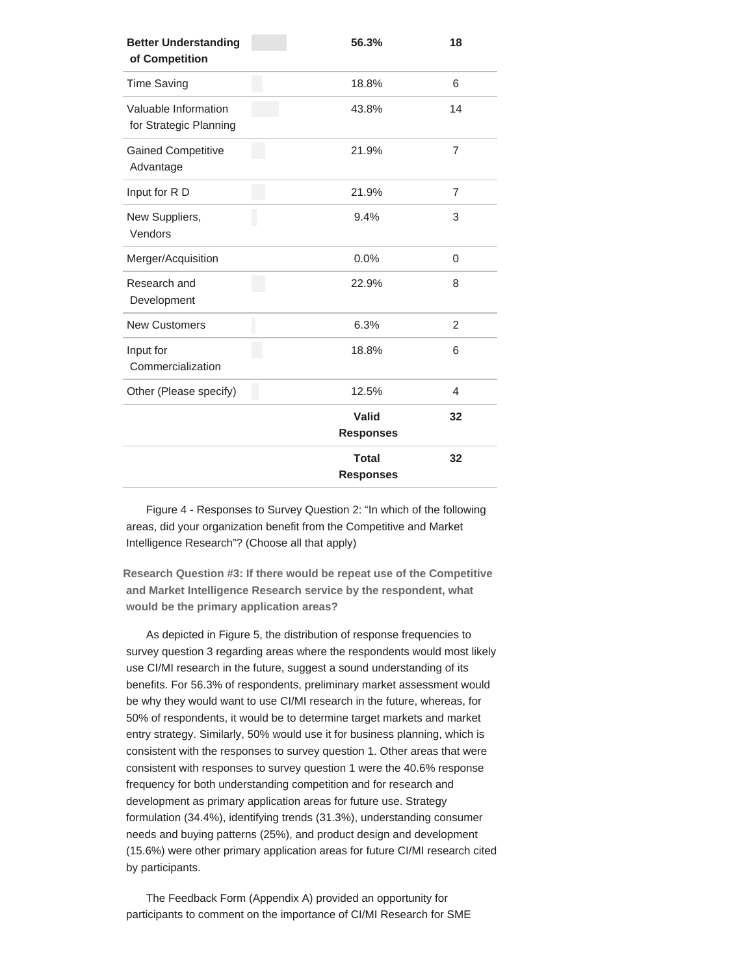| <b>Better Understanding</b><br>of Competition  | 56.3%                            | 18             |
|------------------------------------------------|----------------------------------|----------------|
| <b>Time Saving</b>                             | 18.8%                            | 6              |
| Valuable Information<br>for Strategic Planning | 43.8%                            | 14             |
| <b>Gained Competitive</b><br>Advantage         | 21.9%                            | $\overline{7}$ |
| Input for R D                                  | 21.9%                            | $\overline{7}$ |
| New Suppliers,<br>Vendors                      | 9.4%                             | 3              |
| Merger/Acquisition                             | 0.0%                             | 0              |
| Research and<br>Development                    | 22.9%                            | 8              |
| <b>New Customers</b>                           | 6.3%                             | 2              |
| Input for<br>Commercialization                 | 18.8%                            | 6              |
| Other (Please specify)                         | 12.5%                            | 4              |
|                                                | Valid<br><b>Responses</b>        | 32             |
|                                                | <b>Total</b><br><b>Responses</b> | 32             |

Figure 4 - Responses to Survey Question 2: "In which of the following areas, did your organization benefit from the Competitive and Market Intelligence Research"? (Choose all that apply)

**Research Question #3: If there would be repeat use of the Competitive and Market Intelligence Research service by the respondent, what would be the primary application areas?**

As depicted in Figure 5, the distribution of response frequencies to survey question 3 regarding areas where the respondents would most likely use CI/MI research in the future, suggest a sound understanding of its benefits. For 56.3% of respondents, preliminary market assessment would be why they would want to use CI/MI research in the future, whereas, for 50% of respondents, it would be to determine target markets and market entry strategy. Similarly, 50% would use it for business planning, which is consistent with the responses to survey question 1. Other areas that were consistent with responses to survey question 1 were the 40.6% response frequency for both understanding competition and for research and development as primary application areas for future use. Strategy formulation (34.4%), identifying trends (31.3%), understanding consumer needs and buying patterns (25%), and product design and development (15.6%) were other primary application areas for future CI/MI research cited by participants.

The Feedback Form (Appendix A) provided an opportunity for participants to comment on the importance of CI/MI Research for SME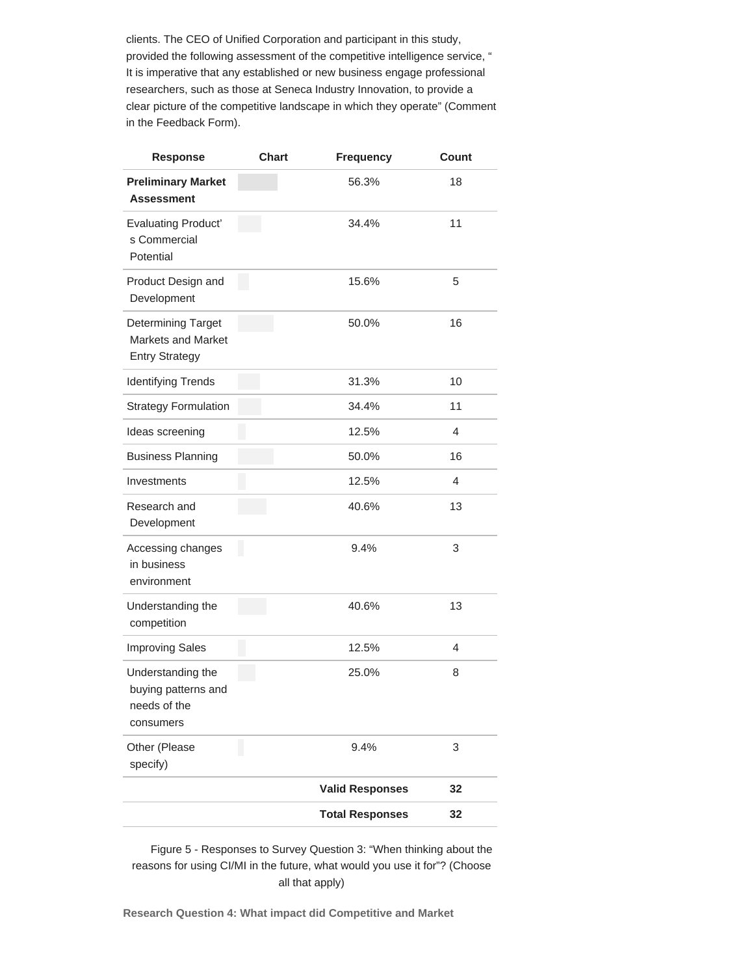clients. The CEO of Unified Corporation and participant in this study, provided the following assessment of the competitive intelligence service, " It is imperative that any established or new business engage professional researchers, such as those at Seneca Industry Innovation, to provide a clear picture of the competitive landscape in which they operate" (Comment in the Feedback Form).

| Response                                                                 | <b>Chart</b> | <b>Frequency</b>       | Count |
|--------------------------------------------------------------------------|--------------|------------------------|-------|
| <b>Preliminary Market</b><br><b>Assessment</b>                           |              | 56.3%                  | 18    |
| <b>Evaluating Product'</b><br>s Commercial<br>Potential                  |              | 34.4%                  | 11    |
| Product Design and<br>Development                                        |              | 15.6%                  | 5     |
| Determining Target<br><b>Markets and Market</b><br><b>Entry Strategy</b> |              | 50.0%                  | 16    |
| <b>Identifying Trends</b>                                                |              | 31.3%                  | 10    |
| <b>Strategy Formulation</b>                                              |              | 34.4%                  | 11    |
| Ideas screening                                                          |              | 12.5%                  | 4     |
| <b>Business Planning</b>                                                 |              | 50.0%                  | 16    |
| Investments                                                              |              | 12.5%                  | 4     |
| Research and<br>Development                                              |              | 40.6%                  | 13    |
| Accessing changes<br>in business<br>environment                          |              | 9.4%                   | 3     |
| Understanding the<br>competition                                         |              | 40.6%                  | 13    |
| <b>Improving Sales</b>                                                   |              | 12.5%                  | 4     |
| Understanding the<br>buying patterns and<br>needs of the<br>consumers    |              | 25.0%                  | 8     |
| Other (Please<br>specify)                                                |              | 9.4%                   | 3     |
|                                                                          |              | <b>Valid Responses</b> | 32    |
|                                                                          |              | <b>Total Responses</b> | 32    |

Figure 5 - Responses to Survey Question 3: "When thinking about the reasons for using CI/MI in the future, what would you use it for"? (Choose all that apply)

**Research Question 4: What impact did Competitive and Market**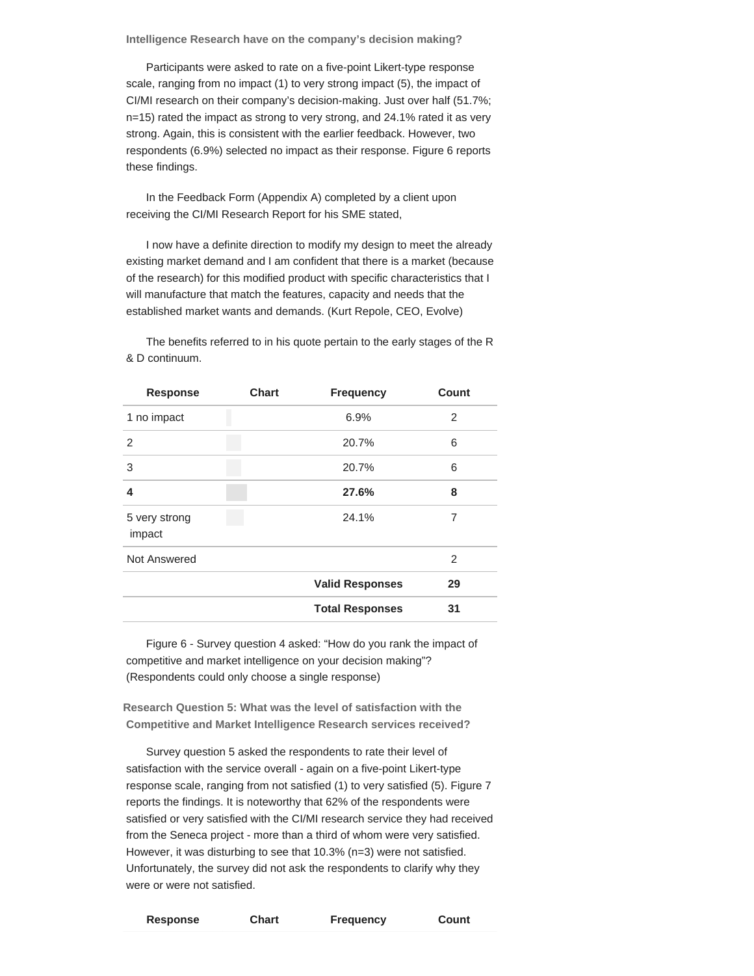**Intelligence Research have on the company's decision making?**

Participants were asked to rate on a five-point Likert-type response scale, ranging from no impact (1) to very strong impact (5), the impact of CI/MI research on their company's decision-making. Just over half (51.7%; n=15) rated the impact as strong to very strong, and 24.1% rated it as very strong. Again, this is consistent with the earlier feedback. However, two respondents (6.9%) selected no impact as their response. Figure 6 reports these findings.

In the Feedback Form (Appendix A) completed by a client upon receiving the CI/MI Research Report for his SME stated,

I now have a definite direction to modify my design to meet the already existing market demand and I am confident that there is a market (because of the research) for this modified product with specific characteristics that I will manufacture that match the features, capacity and needs that the established market wants and demands. (Kurt Repole, CEO, Evolve)

| <b>Response</b>         | <b>Chart</b> | <b>Frequency</b>       | Count |
|-------------------------|--------------|------------------------|-------|
| 1 no impact             |              | 6.9%                   | 2     |
| 2                       |              | 20.7%                  | 6     |
| 3                       |              | 20.7%                  | 6     |
| 4                       |              | 27.6%                  | 8     |
| 5 very strong<br>impact |              | 24.1%                  | 7     |
| Not Answered            |              |                        | 2     |
|                         |              | <b>Valid Responses</b> | 29    |
|                         |              | <b>Total Responses</b> | 31    |
|                         |              |                        |       |

The benefits referred to in his quote pertain to the early stages of the R & D continuum.

Figure 6 - Survey question 4 asked: "How do you rank the impact of competitive and market intelligence on your decision making"? (Respondents could only choose a single response)

**Research Question 5: What was the level of satisfaction with the Competitive and Market Intelligence Research services received?**

Survey question 5 asked the respondents to rate their level of satisfaction with the service overall - again on a five-point Likert-type response scale, ranging from not satisfied (1) to very satisfied (5). Figure 7 reports the findings. It is noteworthy that 62% of the respondents were satisfied or very satisfied with the CI/MI research service they had received from the Seneca project - more than a third of whom were very satisfied. However, it was disturbing to see that 10.3% (n=3) were not satisfied. Unfortunately, the survey did not ask the respondents to clarify why they were or were not satisfied.

| Response | Chart | Frequency | <b>Count</b> |
|----------|-------|-----------|--------------|
|----------|-------|-----------|--------------|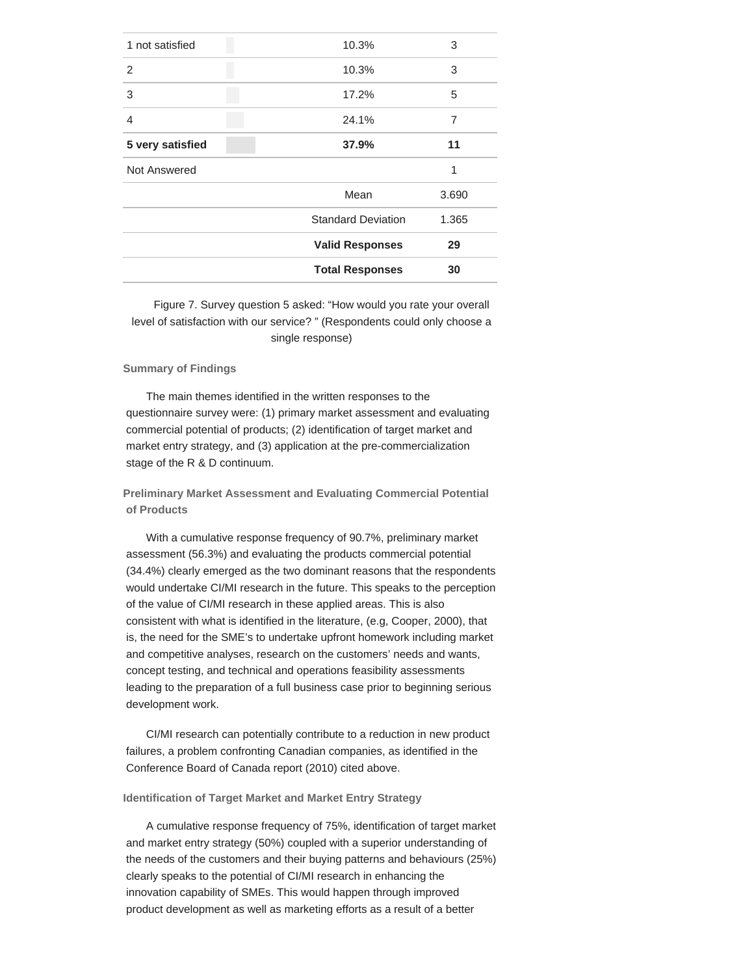| 1 not satisfied  | 10.3%                     | 3     |
|------------------|---------------------------|-------|
| 2                | 10.3%                     | 3     |
| 3                | 17.2%                     | 5     |
| $\overline{4}$   | 24.1%                     | 7     |
| 5 very satisfied | 37.9%                     | 11    |
| Not Answered     |                           | 1     |
|                  | Mean                      | 3.690 |
|                  | <b>Standard Deviation</b> | 1.365 |
|                  | <b>Valid Responses</b>    | 29    |
|                  | <b>Total Responses</b>    | 30    |
|                  |                           |       |

Figure 7. Survey question 5 asked: "How would you rate your overall level of satisfaction with our service? " (Respondents could only choose a single response)

### **Summary of Findings**

The main themes identified in the written responses to the questionnaire survey were: (1) primary market assessment and evaluating commercial potential of products; (2) identification of target market and market entry strategy, and (3) application at the pre-commercialization stage of the R & D continuum.

**Preliminary Market Assessment and Evaluating Commercial Potential of Products**

With a cumulative response frequency of 90.7%, preliminary market assessment (56.3%) and evaluating the products commercial potential (34.4%) clearly emerged as the two dominant reasons that the respondents would undertake CI/MI research in the future. This speaks to the perception of the value of CI/MI research in these applied areas. This is also consistent with what is identified in the literature, (e.g, Cooper, 2000), that is, the need for the SME's to undertake upfront homework including market and competitive analyses, research on the customers' needs and wants, concept testing, and technical and operations feasibility assessments leading to the preparation of a full business case prior to beginning serious development work.

CI/MI research can potentially contribute to a reduction in new product failures, a problem confronting Canadian companies, as identified in the Conference Board of Canada report (2010) cited above.

# **Identification of Target Market and Market Entry Strategy**

A cumulative response frequency of 75%, identification of target market and market entry strategy (50%) coupled with a superior understanding of the needs of the customers and their buying patterns and behaviours (25%) clearly speaks to the potential of CI/MI research in enhancing the innovation capability of SMEs. This would happen through improved product development as well as marketing efforts as a result of a better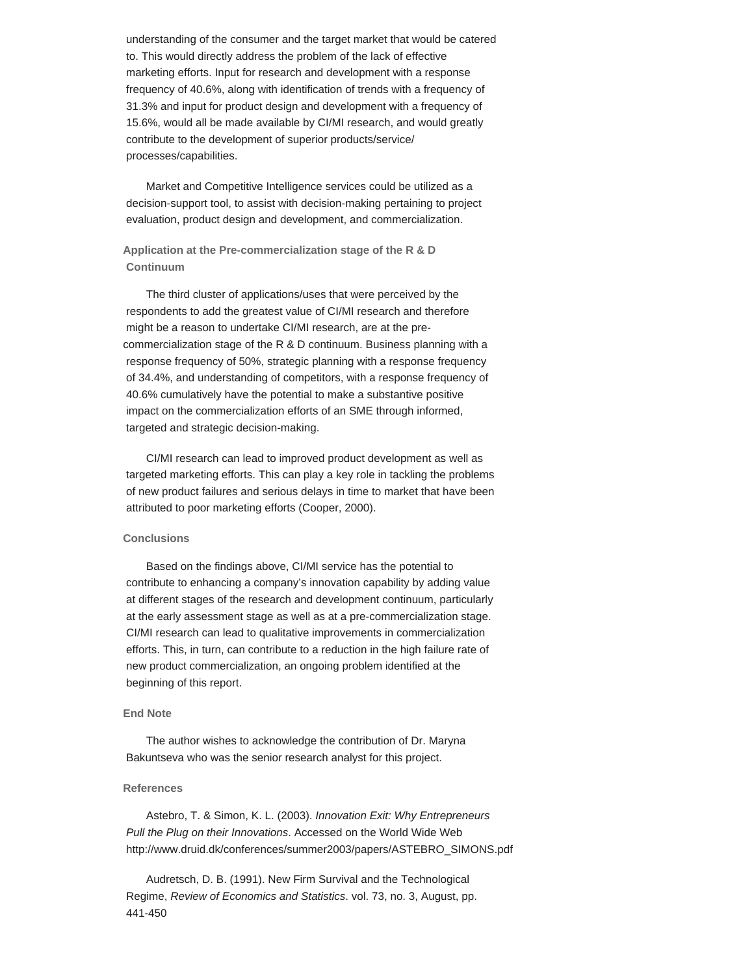understanding of the consumer and the target market that would be catered to. This would directly address the problem of the lack of effective marketing efforts. Input for research and development with a response frequency of 40.6%, along with identification of trends with a frequency of 31.3% and input for product design and development with a frequency of 15.6%, would all be made available by CI/MI research, and would greatly contribute to the development of superior products/service/ processes/capabilities.

Market and Competitive Intelligence services could be utilized as a decision-support tool, to assist with decision-making pertaining to project evaluation, product design and development, and commercialization.

**Application at the Pre-commercialization stage of the R & D Continuum**

The third cluster of applications/uses that were perceived by the respondents to add the greatest value of CI/MI research and therefore might be a reason to undertake CI/MI research, are at the precommercialization stage of the R & D continuum. Business planning with a response frequency of 50%, strategic planning with a response frequency of 34.4%, and understanding of competitors, with a response frequency of 40.6% cumulatively have the potential to make a substantive positive impact on the commercialization efforts of an SME through informed, targeted and strategic decision-making.

CI/MI research can lead to improved product development as well as targeted marketing efforts. This can play a key role in tackling the problems of new product failures and serious delays in time to market that have been attributed to poor marketing efforts (Cooper, 2000).

#### **Conclusions**

Based on the findings above, CI/MI service has the potential to contribute to enhancing a company's innovation capability by adding value at different stages of the research and development continuum, particularly at the early assessment stage as well as at a pre-commercialization stage. CI/MI research can lead to qualitative improvements in commercialization efforts. This, in turn, can contribute to a reduction in the high failure rate of new product commercialization, an ongoing problem identified at the beginning of this report.

#### **End Note**

The author wishes to acknowledge the contribution of Dr. Maryna Bakuntseva who was the senior research analyst for this project.

#### **References**

Astebro, T. & Simon, K. L. (2003). *Innovation Exit: Why Entrepreneurs Pull the Plug on their Innovations*. Accessed on the World Wide Web http://www.druid.dk/conferences/summer2003/papers/ASTEBRO\_SIMONS.pdf

Audretsch, D. B. (1991). New Firm Survival and the Technological Regime, *Review of Economics and Statistics*. vol. 73, no. 3, August, pp. 441-450